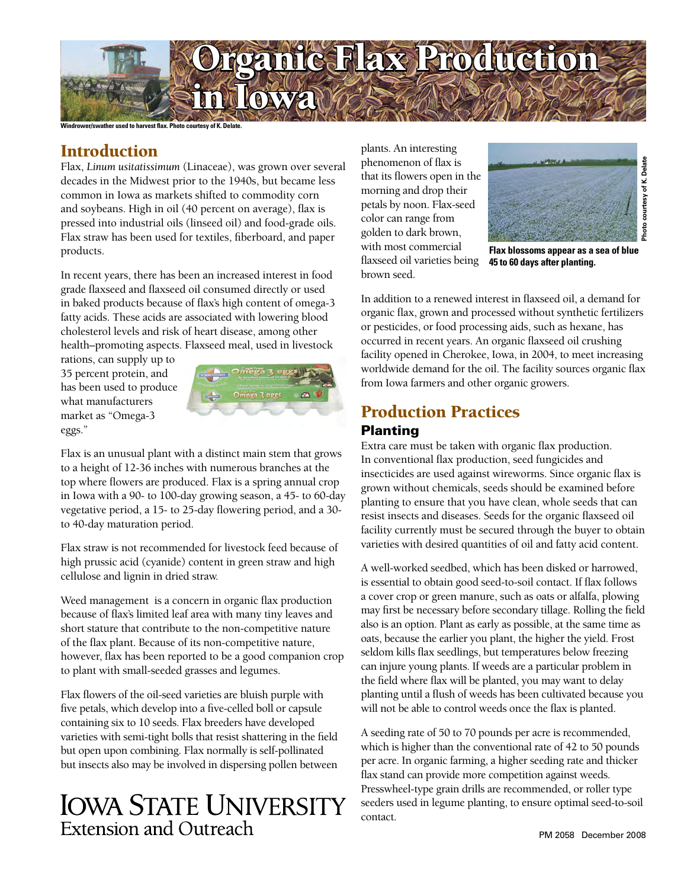

**Windrower/swather used to harvest flax. Photo courtesy of K. Delate.**

## **Introduction**

Flax, *Linum usitatissimum* (Linaceae), was grown over several decades in the Midwest prior to the 1940s, but became less common in Iowa as markets shifted to commodity corn and soybeans. High in oil (40 percent on average), flax is pressed into industrial oils (linseed oil) and food-grade oils. Flax straw has been used for textiles, fiberboard, and paper products.

In recent years, there has been an increased interest in food grade flaxseed and flaxseed oil consumed directly or used in baked products because of flax's high content of omega-3 fatty acids. These acids are associated with lowering blood cholesterol levels and risk of heart disease, among other health–promoting aspects. Flaxseed meal, used in livestock

rations, can supply up to 35 percent protein, and has been used to produce what manufacturers market as "Omega-3 eggs."



Flax is an unusual plant with a distinct main stem that grows to a height of 12-36 inches with numerous branches at the top where flowers are produced. Flax is a spring annual crop in Iowa with a 90- to 100-day growing season, a 45- to 60-day vegetative period, a 15- to 25-day flowering period, and a 30 to 40-day maturation period.

Flax straw is not recommended for livestock feed because of high prussic acid (cyanide) content in green straw and high cellulose and lignin in dried straw.

Weed management is a concern in organic flax production because of flax's limited leaf area with many tiny leaves and short stature that contribute to the non-competitive nature of the flax plant. Because of its non-competitive nature, however, flax has been reported to be a good companion crop to plant with small-seeded grasses and legumes.

Flax flowers of the oil-seed varieties are bluish purple with five petals, which develop into a five-celled boll or capsule containing six to 10 seeds. Flax breeders have developed varieties with semi-tight bolls that resist shattering in the field but open upon combining. Flax normally is self-pollinated but insects also may be involved in dispersing pollen between

# **IOWA STATE UNIVERSITY** Extension and Outreach

plants. An interesting phenomenon of flax is that its flowers open in the morning and drop their petals by noon. Flax-seed color can range from golden to dark brown, with most commercial flaxseed oil varieties being brown seed.



**Flax blossoms appear as a sea of blue 45 to 60 days after planting.**

In addition to a renewed interest in flaxseed oil, a demand for organic flax, grown and processed without synthetic fertilizers or pesticides, or food processing aids, such as hexane, has occurred in recent years. An organic flaxseed oil crushing facility opened in Cherokee, Iowa, in 2004, to meet increasing worldwide demand for the oil. The facility sources organic flax from Iowa farmers and other organic growers.

## Production Practices Planting

Extra care must be taken with organic flax production. In conventional flax production, seed fungicides and insecticides are used against wireworms. Since organic flax is grown without chemicals, seeds should be examined before planting to ensure that you have clean, whole seeds that can resist insects and diseases. Seeds for the organic flaxseed oil facility currently must be secured through the buyer to obtain varieties with desired quantities of oil and fatty acid content.

A well-worked seedbed, which has been disked or harrowed, is essential to obtain good seed-to-soil contact. If flax follows a cover crop or green manure, such as oats or alfalfa, plowing may first be necessary before secondary tillage. Rolling the field also is an option. Plant as early as possible, at the same time as oats, because the earlier you plant, the higher the yield. Frost seldom kills flax seedlings, but temperatures below freezing can injure young plants. If weeds are a particular problem in the field where flax will be planted, you may want to delay planting until a flush of weeds has been cultivated because you will not be able to control weeds once the flax is planted.

A seeding rate of 50 to 70 pounds per acre is recommended, which is higher than the conventional rate of 42 to 50 pounds per acre. In organic farming, a higher seeding rate and thicker flax stand can provide more competition against weeds. Presswheel-type grain drills are recommended, or roller type seeders used in legume planting, to ensure optimal seed-to-soil contact.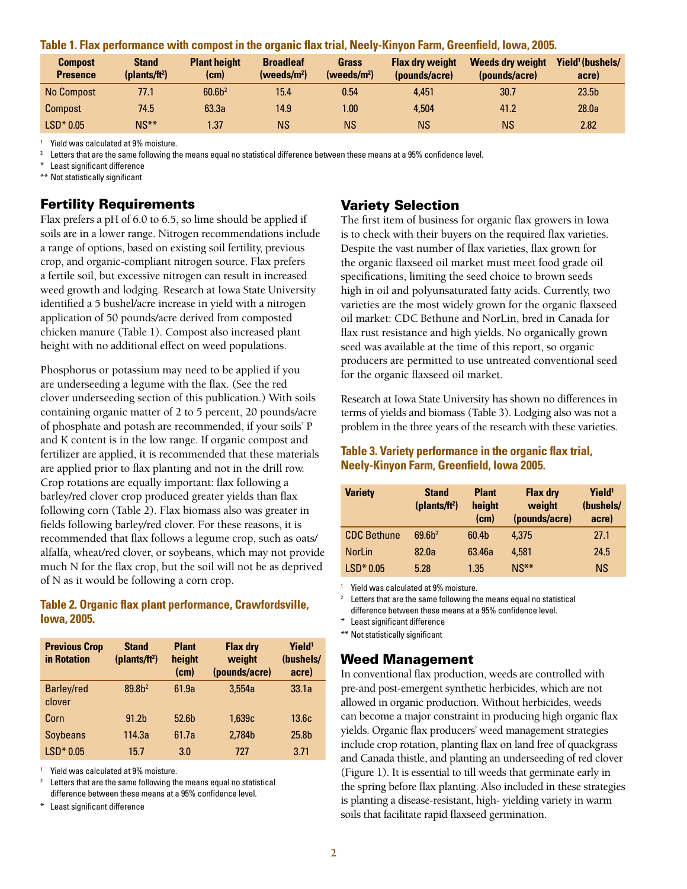|  | <b>Compost</b><br><b>Presence</b> | <b>Stand</b><br>(plants/ft <sup>2</sup> ) | <b>Plant height</b><br>(cm) | <b>Broadleaf</b><br>(weeds/m <sup>2</sup> ) | Grass<br>$(t)$ (weeds/m <sup>2</sup> ) | <b>Flax dry weight</b><br>(pounds/acre) | <b>Weeds dry weight</b><br>(pounds/acre) | Yield <sup>1</sup> (bushels/<br>acre) |
|--|-----------------------------------|-------------------------------------------|-----------------------------|---------------------------------------------|----------------------------------------|-----------------------------------------|------------------------------------------|---------------------------------------|
|  | No Compost                        | 77.1                                      | 60.6 <sup>2</sup>           | 15.4                                        | 0.54                                   | 4.451                                   | 30.7                                     | 23.5 <sub>b</sub>                     |
|  | <b>Compost</b>                    | 74.5                                      | 63.3a                       | 14.9                                        | $1.00\,$                               | 4.504                                   | 41.2                                     | 28.0a                                 |
|  | $LSD*0.05$                        | $NS**$                                    | 1.37                        | ΝS                                          | ΝS                                     | <b>NS</b>                               | ΝS                                       | 2.82                                  |

**Table 1. Flax performance with compost in the organic flax trial, Neely-Kinyon Farm, Greenfield, Iowa, 2005.**

Yield was calculated at 9% moisture.

Letters that are the same following the means equal no statistical difference between these means at a 95% confidence level.

\* Least significant difference

\*\* Not statistically significant

## Fertility Requirements

Flax prefers a pH of 6.0 to 6.5, so lime should be applied if soils are in a lower range. Nitrogen recommendations include a range of options, based on existing soil fertility, previous crop, and organic-compliant nitrogen source. Flax prefers a fertile soil, but excessive nitrogen can result in increased weed growth and lodging. Research at Iowa State University identified a 5 bushel/acre increase in yield with a nitrogen application of 50 pounds/acre derived from composted chicken manure (Table 1). Compost also increased plant height with no additional effect on weed populations.

Phosphorus or potassium may need to be applied if you are underseeding a legume with the flax. (See the red clover underseeding section of this publication.) With soils containing organic matter of 2 to 5 percent, 20 pounds/acre of phosphate and potash are recommended, if your soils' P and K content is in the low range. If organic compost and fertilizer are applied, it is recommended that these materials are applied prior to flax planting and not in the drill row. Crop rotations are equally important: flax following a barley/red clover crop produced greater yields than flax following corn (Table 2). Flax biomass also was greater in fields following barley/red clover. For these reasons, it is recommended that flax follows a legume crop, such as oats/ alfalfa, wheat/red clover, or soybeans, which may not provide much N for the flax crop, but the soil will not be as deprived of N as it would be following a corn crop.

#### **Table 2. Organic flax plant performance, Crawfordsville, Iowa, 2005.**

| <b>Previous Crop</b><br>in Rotation | <b>Stand</b><br>(plants/ft <sup>2</sup> ) | <b>Plant</b><br>height<br>(cm) | <b>Flax dry</b><br>weight<br>(pounds/acre) | Yield <sup>1</sup><br>(bushels/<br>acre) |
|-------------------------------------|-------------------------------------------|--------------------------------|--------------------------------------------|------------------------------------------|
| <b>Barley/red</b><br>clover         | 89.8 <sup>2</sup>                         | 61.9a                          | 3.554a                                     | 33.1a                                    |
| Corn                                | 91.2 <sub>b</sub>                         | 52.6b                          | 1.639c                                     | 13.6c                                    |
| <b>Soybeans</b>                     | 114.3a                                    | 61.7a                          | 2.784b                                     | 25.8 <sub>b</sub>                        |
| $LSD*0.05$                          | 15.7                                      | 3.0                            | 727                                        | 3.71                                     |

Yield was calculated at 9% moisture.

Letters that are the same following the means equal no statistical difference between these means at a 95% confidence level.

Least significant difference

## Variety Selection

The first item of business for organic flax growers in Iowa is to check with their buyers on the required flax varieties. Despite the vast number of flax varieties, flax grown for the organic flaxseed oil market must meet food grade oil specifications, limiting the seed choice to brown seeds high in oil and polyunsaturated fatty acids. Currently, two varieties are the most widely grown for the organic flaxseed oil market: CDC Bethune and NorLin, bred in Canada for flax rust resistance and high yields. No organically grown seed was available at the time of this report, so organic producers are permitted to use untreated conventional seed for the organic flaxseed oil market.

Research at Iowa State University has shown no differences in terms of yields and biomass (Table 3). Lodging also was not a problem in the three years of the research with these varieties.

#### **Table 3. Variety performance in the organic flax trial, Neely-Kinyon Farm, Greenfield, Iowa 2005.**

| <b>Variety</b>     | <b>Stand</b><br>(plants/ft <sup>2</sup> ) | <b>Plant</b><br>height<br>(cm) | <b>Flax dry</b><br>weight<br>(pounds/acre) | Yield <sup>1</sup><br>(bushels/<br>acre) |
|--------------------|-------------------------------------------|--------------------------------|--------------------------------------------|------------------------------------------|
| <b>CDC Bethune</b> | 69.6 <sup>2</sup>                         | 60.4b                          | 4.375                                      | 27.1                                     |
| <b>NorLin</b>      | 82.0a                                     | 63.46a                         | 4.581                                      | 24.5                                     |
| $LSD*0.05$         | 5.28                                      | 1.35                           | $NS**$                                     | <b>NS</b>                                |

Yield was calculated at 9% moisture.

Letters that are the same following the means equal no statistical

difference between these means at a 95% confidence level.

\* Least significant difference

\*\* Not statistically significant

#### Weed Management

In conventional flax production, weeds are controlled with pre-and post-emergent synthetic herbicides, which are not allowed in organic production. Without herbicides, weeds can become a major constraint in producing high organic flax yields. Organic flax producers' weed management strategies include crop rotation, planting flax on land free of quackgrass and Canada thistle, and planting an underseeding of red clover (Figure 1). It is essential to till weeds that germinate early in the spring before flax planting. Also included in these strategies is planting a disease-resistant, high- yielding variety in warm soils that facilitate rapid flaxseed germination.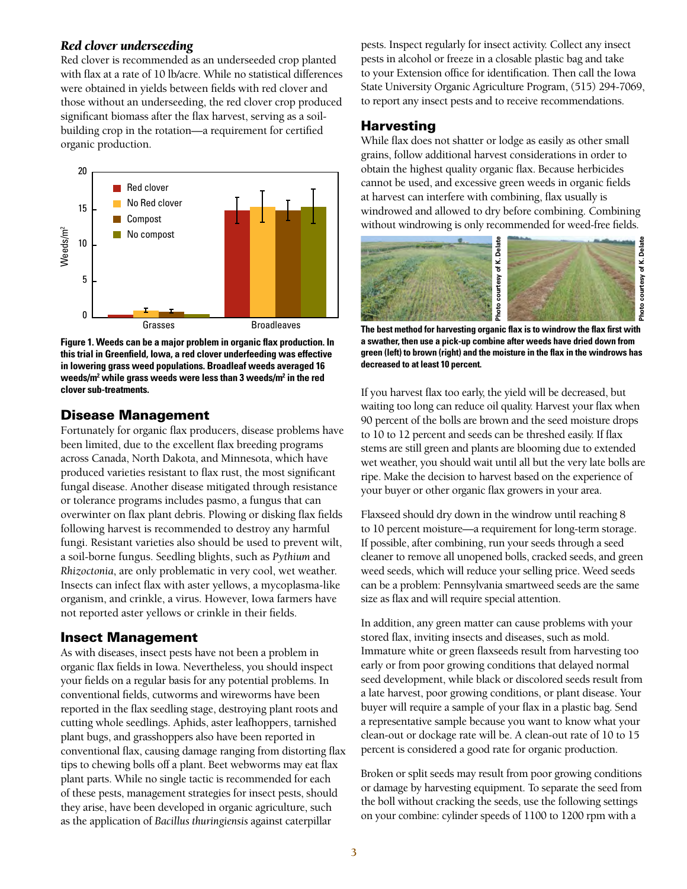#### *Red clover underseeding*

Red clover is recommended as an underseeded crop planted with flax at a rate of 10 lb/acre. While no statistical differences were obtained in yields between fields with red clover and those without an underseeding, the red clover crop produced significant biomass after the flax harvest, serving as a soilbuilding crop in the rotation—a requirement for certified organic production.



**Figure 1. Weeds can be a major problem in organic flax production. In this trial in Greenfield, Iowa, a red clover underfeeding was effective in lowering grass weed populations. Broadleaf weeds averaged 16 weeds/m2 while grass weeds were less than 3 weeds/m2 in the red clover sub-treatments.**

#### Disease Management

Fortunately for organic flax producers, disease problems have been limited, due to the excellent flax breeding programs across Canada, North Dakota, and Minnesota, which have produced varieties resistant to flax rust, the most significant fungal disease. Another disease mitigated through resistance or tolerance programs includes pasmo, a fungus that can overwinter on flax plant debris. Plowing or disking flax fields following harvest is recommended to destroy any harmful fungi. Resistant varieties also should be used to prevent wilt, a soil-borne fungus. Seedling blights, such as *Pythium* and *Rhizoctonia*, are only problematic in very cool, wet weather. Insects can infect flax with aster yellows, a mycoplasma-like organism, and crinkle, a virus. However, Iowa farmers have not reported aster yellows or crinkle in their fields.

#### Insect Management

As with diseases, insect pests have not been a problem in organic flax fields in Iowa. Nevertheless, you should inspect your fields on a regular basis for any potential problems. In conventional fields, cutworms and wireworms have been reported in the flax seedling stage, destroying plant roots and cutting whole seedlings. Aphids, aster leafhoppers, tarnished plant bugs, and grasshoppers also have been reported in conventional flax, causing damage ranging from distorting flax tips to chewing bolls off a plant. Beet webworms may eat flax plant parts. While no single tactic is recommended for each of these pests, management strategies for insect pests, should they arise, have been developed in organic agriculture, such as the application of *Bacillus thuringiensis* against caterpillar

pests. Inspect regularly for insect activity. Collect any insect pests in alcohol or freeze in a closable plastic bag and take to your Extension office for identification. Then call the Iowa State University Organic Agriculture Program, (515) 294-7069, to report any insect pests and to receive recommendations.

#### **Harvesting**

While flax does not shatter or lodge as easily as other small grains, follow additional harvest considerations in order to obtain the highest quality organic flax. Because herbicides cannot be used, and excessive green weeds in organic fields at harvest can interfere with combining, flax usually is windrowed and allowed to dry before combining. Combining without windrowing is only recommended for weed-free fields.



**The best method for harvesting organic flax is to windrow the flax first with a swather, then use a pick-up combine after weeds have dried down from green (left) to brown (right) and the moisture in the flax in the windrows has decreased to at least 10 percent.**

If you harvest flax too early, the yield will be decreased, but waiting too long can reduce oil quality. Harvest your flax when 90 percent of the bolls are brown and the seed moisture drops to 10 to 12 percent and seeds can be threshed easily. If flax stems are still green and plants are blooming due to extended wet weather, you should wait until all but the very late bolls are ripe. Make the decision to harvest based on the experience of your buyer or other organic flax growers in your area.

Flaxseed should dry down in the windrow until reaching 8 to 10 percent moisture—a requirement for long-term storage. If possible, after combining, run your seeds through a seed cleaner to remove all unopened bolls, cracked seeds, and green weed seeds, which will reduce your selling price. Weed seeds can be a problem: Pennsylvania smartweed seeds are the same size as flax and will require special attention.

In addition, any green matter can cause problems with your stored flax, inviting insects and diseases, such as mold. Immature white or green flaxseeds result from harvesting too early or from poor growing conditions that delayed normal seed development, while black or discolored seeds result from a late harvest, poor growing conditions, or plant disease. Your buyer will require a sample of your flax in a plastic bag. Send a representative sample because you want to know what your clean-out or dockage rate will be. A clean-out rate of 10 to 15 percent is considered a good rate for organic production.

Broken or split seeds may result from poor growing conditions or damage by harvesting equipment. To separate the seed from the boll without cracking the seeds, use the following settings on your combine: cylinder speeds of 1100 to 1200 rpm with a